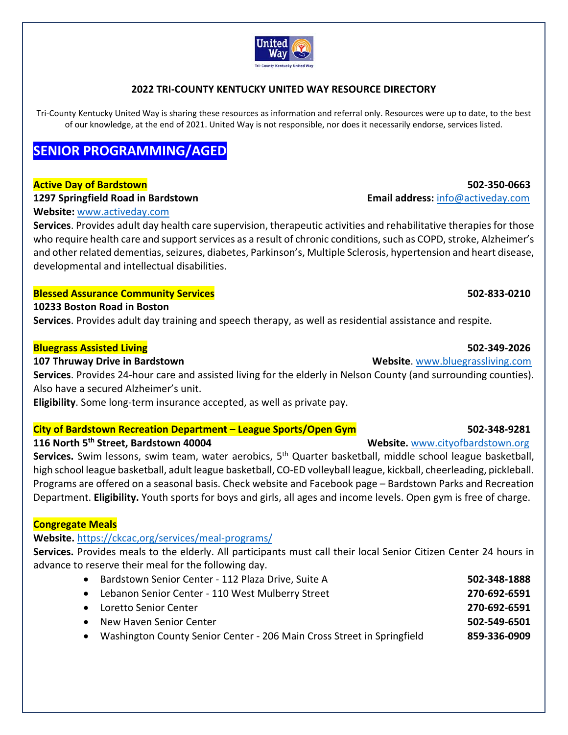### United Wav **Tri-County Kentucky United Way**

# **2022 TRI‐COUNTY KENTUCKY UNITED WAY RESOURCE DIRECTORY**

Tri-County Kentucky United Way is sharing these resources as information and referral only. Resources were up to date, to the best of our knowledge, at the end of 2021. United Way is not responsible, nor does it necessarily endorse, services listed.

# **SENIOR PROGRAMMING/AGED**

### **Active Day of Bardstown 502‐350‐0663**

### **1297 Springfield Road in Bardstown Email address:** info@activeday.com

### **Website:** www.activeday.com

**Services**. Provides adult day health care supervision, therapeutic activities and rehabilitative therapies for those who require health care and support services as a result of chronic conditions, such as COPD, stroke, Alzheimer's and other related dementias, seizures, diabetes, Parkinson's, Multiple Sclerosis, hypertension and heart disease, developmental and intellectual disabilities.

### **Blessed Assurance Community Services 502‐833‐0210**

### **10233 Boston Road in Boston**

**Services**. Provides adult day training and speech therapy, as well as residential assistance and respite.

### **Bluegrass Assisted Living 502‐349‐2026**

### **107 Thruway Drive in Bardstown <br>
<b>107 Thruway Drive in Bardstown 108 Thruway Drive in Bardstown 108 Thruway Drive in Bardstown**

**Services**. Provides 24‐hour care and assisted living for the elderly in Nelson County (and surrounding counties). Also have a secured Alzheimer's unit.

**Eligibility**. Some long‐term insurance accepted, as well as private pay.

# **City of Bardstown Recreation Department – League Sports/Open Gym 502‐348‐9281**

# **116 North 5th Street, Bardstown 40004 Website.** www.cityofbardstown.org

Services. Swim lessons, swim team, water aerobics, 5<sup>th</sup> Quarter basketball, middle school league basketball, high school league basketball, adult league basketball, CO‐ED volleyball league, kickball, cheerleading, pickleball. Programs are offered on a seasonal basis. Check website and Facebook page – Bardstown Parks and Recreation Department. **Eligibility.** Youth sports for boys and girls, all ages and income levels. Open gym is free of charge.

# **Congregate Meals**

# **Website.** https://ckcac,org/services/meal‐programs/

**Services.** Provides meals to the elderly. All participants must call their local Senior Citizen Center 24 hours in advance to reserve their meal for the following day.

 Bardstown Senior Center ‐ 112 Plaza Drive, Suite A **502‐348‐1888** Lebanon Senior Center ‐ 110 West Mulberry Street **270‐692‐6591** Loretto Senior Center **270‐692‐6591** New Haven Senior Center **502‐549‐6501** Washington County Senior Center ‐ 206 Main Cross Street in Springfield **859‐336‐0909**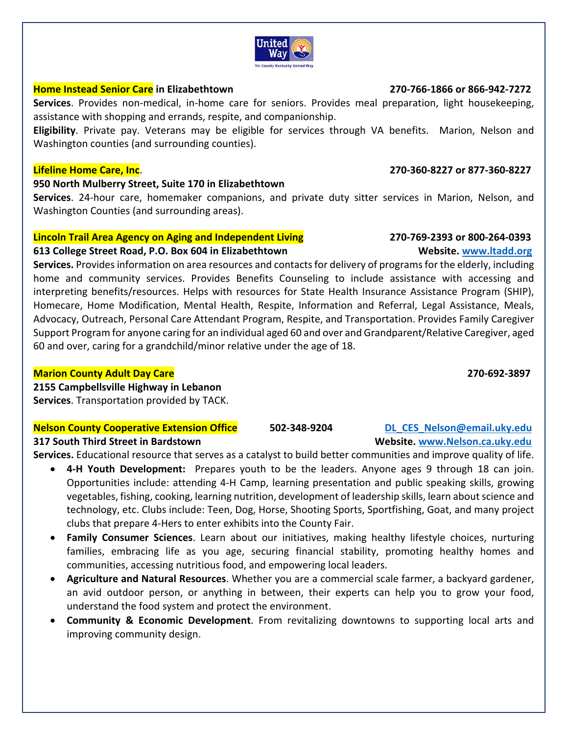# **Home Instead Senior Care** in Elizabethtown **270-766-1866 or 866-942-7272**

**Services**. Provides non‐medical, in‐home care for seniors. Provides meal preparation, light housekeeping, assistance with shopping and errands, respite, and companionship.

**Eligibility**. Private pay. Veterans may be eligible for services through VA benefits. Marion, Nelson and Washington counties (and surrounding counties).

# **950 North Mulberry Street, Suite 170 in Elizabethtown**

**Services**. 24‐hour care, homemaker companions, and private duty sitter services in Marion, Nelson, and Washington Counties (and surrounding areas).

# **Lincoln Trail Area Agency on Aging and Independent Living 270‐769‐2393 or 800‐264‐0393**

# **613 College Street Road, P.O. Box 604 in Elizabethtown Website. www.ltadd.org**

**Services.** Provides information on area resources and contacts for delivery of programs for the elderly, including home and community services. Provides Benefits Counseling to include assistance with accessing and interpreting benefits/resources. Helps with resources for State Health Insurance Assistance Program (SHIP), Homecare, Home Modification, Mental Health, Respite, Information and Referral, Legal Assistance, Meals, Advocacy, Outreach, Personal Care Attendant Program, Respite, and Transportation. Provides Family Caregiver Support Program for anyone caring for an individual aged 60 and over and Grandparent/Relative Caregiver, aged 60 and over, caring for a grandchild/minor relative under the age of 18.

# **Marion County Adult Day Care 270‐692‐3897**

**2155 Campbellsville Highway in Lebanon** 

# **Services**. Transportation provided by TACK.

### **Nelson County Cooperative Extension Office 502‐348‐9204 DL\_CES\_Nelson@email.uky.edu 317 South Third Street in Bardstown Website. www.Nelson.ca.uky.edu**

**Services.** Educational resource that serves as a catalyst to build better communities and improve quality of life.

- 4-H Youth Development: Prepares youth to be the leaders. Anyone ages 9 through 18 can join. Opportunities include: attending 4‐H Camp, learning presentation and public speaking skills, growing vegetables, fishing, cooking, learning nutrition, development of leadership skills, learn about science and technology, etc. Clubs include: Teen, Dog, Horse, Shooting Sports, Sportfishing, Goat, and many project clubs that prepare 4‐Hers to enter exhibits into the County Fair.
- **Family Consumer Sciences**. Learn about our initiatives, making healthy lifestyle choices, nurturing families, embracing life as you age, securing financial stability, promoting healthy homes and communities, accessing nutritious food, and empowering local leaders.
- **Agriculture and Natural Resources**. Whether you are a commercial scale farmer, a backyard gardener, an avid outdoor person, or anything in between, their experts can help you to grow your food, understand the food system and protect the environment.
- **Community & Economic Development**. From revitalizing downtowns to supporting local arts and improving community design.

# **Lifeline Home Care, Inc**.  **270‐360‐8227 or 877‐360‐8227**